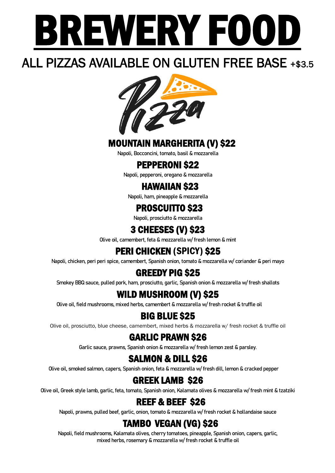

## ALL PIZZAS AVAILABLE ON GLUTEN FREE BASE +\$3.5



#### MOUNTAIN MARGHERITA (V) \$22

Napoli, Bocconcini, tomato, basil & mozzarella

#### PEPPERONI \$22

Napoli, pepperoni, oregano & mozzarella

#### HAWAIIAN \$23

Napoli, ham, pineapple & mozzarella

#### PROSCUITTO \$23

Napoli, prosciutto & mozzarella

## 3 CHEESES (V) \$23

Olive oil, camembert, feta & mozzarella w/ fresh lemon & mint

## PERI CHICKEN (SPICY) \$25

Napoli, chicken, peri peri spice, camembert, Spanish onion, tomato & mozzarella w/ coriander & peri mayo

## GREEDY PIG \$25

Smokey BBQ sauce, pulled pork, ham, prosciutto, garlic, Spanish onion & mozzarella w/ fresh shallots

### WILD MUSHROOM (V) \$25

Olive oil, field mushrooms, mixed herbs, camembert & mozzarella w/ fresh rocket & truffle oil

#### BIG BLUE \$25

Olive oil, prosciutto, blue cheese, camembert, mixed herbs & mozzarella w/ fresh rocket & truffle oil

#### GARLIC PRAWN \$26

Garlic sauce, prawns, Spanish onion & mozzarella w/ fresh lemon zest & parsley.

#### SALMON & DILL \$26

Olive oil, smoked salmon, capers, Spanish onion, feta & mozzarella w/ fresh dill, lemon & cracked pepper

### GREEK LAMB \$26

Olive oil, Greek style lamb, garlic, feta, tomato, Spanish onion, Kalamata olives & mozzarella w/ fresh mint & tzatziki

#### REEF & BEEF \$26

Napoli, prawns, pulled beef, garlic, onion, tomato & mozzarella w/ fresh rocket & hollandaise sauce

#### TAMBO VEGAN (VG) \$26

Napoli, field mushrooms, Kalamata olives, cherry tomatoes, pineapple, Spanish onion, capers, garlic, mixed herbs, rosemary & mozzarella w/ fresh rocket & truffle oil